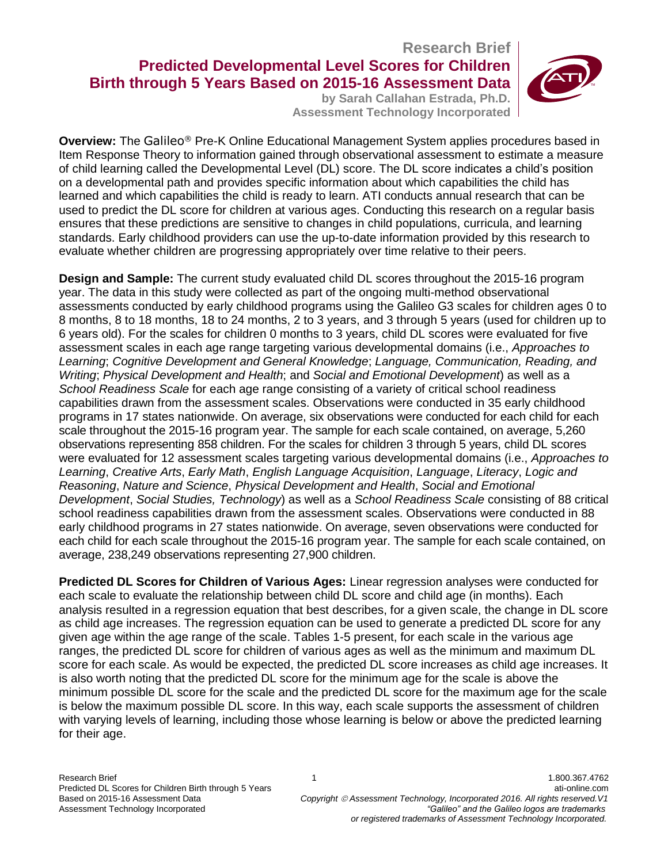# **Research Brief Predicted Developmental Level Scores for Children Birth through 5 Years Based on 2015-16 Assessment Data**

**by Sarah Callahan Estrada, Ph.D. Assessment Technology Incorporated**



**Overview:** The Galileo® Pre-K Online Educational Management System applies procedures based in Item Response Theory to information gained through observational assessment to estimate a measure of child learning called the Developmental Level (DL) score. The DL score indicates a child's position on a developmental path and provides specific information about which capabilities the child has learned and which capabilities the child is ready to learn. ATI conducts annual research that can be used to predict the DL score for children at various ages. Conducting this research on a regular basis ensures that these predictions are sensitive to changes in child populations, curricula, and learning standards. Early childhood providers can use the up-to-date information provided by this research to evaluate whether children are progressing appropriately over time relative to their peers.

**Design and Sample:** The current study evaluated child DL scores throughout the 2015-16 program year. The data in this study were collected as part of the ongoing multi-method observational assessments conducted by early childhood programs using the Galileo G3 scales for children ages 0 to 8 months, 8 to 18 months, 18 to 24 months, 2 to 3 years, and 3 through 5 years (used for children up to 6 years old). For the scales for children 0 months to 3 years, child DL scores were evaluated for five assessment scales in each age range targeting various developmental domains (i.e., *Approaches to Learning*; *Cognitive Development and General Knowledge*; *Language, Communication, Reading, and Writing*; *Physical Development and Health*; and *Social and Emotional Development*) as well as a *School Readiness Scale* for each age range consisting of a variety of critical school readiness capabilities drawn from the assessment scales. Observations were conducted in 35 early childhood programs in 17 states nationwide. On average, six observations were conducted for each child for each scale throughout the 2015-16 program year. The sample for each scale contained, on average, 5,260 observations representing 858 children. For the scales for children 3 through 5 years, child DL scores were evaluated for 12 assessment scales targeting various developmental domains (i.e., *Approaches to Learning*, *Creative Arts*, *Early Math*, *English Language Acquisition*, *Language*, *Literacy*, *Logic and Reasoning*, *Nature and Science*, *Physical Development and Health*, *Social and Emotional Development*, *Social Studies, Technology*) as well as a *School Readiness Scale* consisting of 88 critical school readiness capabilities drawn from the assessment scales. Observations were conducted in 88 early childhood programs in 27 states nationwide. On average, seven observations were conducted for each child for each scale throughout the 2015-16 program year. The sample for each scale contained, on average, 238,249 observations representing 27,900 children.

**Predicted DL Scores for Children of Various Ages:** Linear regression analyses were conducted for each scale to evaluate the relationship between child DL score and child age (in months). Each analysis resulted in a regression equation that best describes, for a given scale, the change in DL score as child age increases. The regression equation can be used to generate a predicted DL score for any given age within the age range of the scale. Tables 1-5 present, for each scale in the various age ranges, the predicted DL score for children of various ages as well as the minimum and maximum DL score for each scale. As would be expected, the predicted DL score increases as child age increases. It is also worth noting that the predicted DL score for the minimum age for the scale is above the minimum possible DL score for the scale and the predicted DL score for the maximum age for the scale is below the maximum possible DL score. In this way, each scale supports the assessment of children with varying levels of learning, including those whose learning is below or above the predicted learning for their age.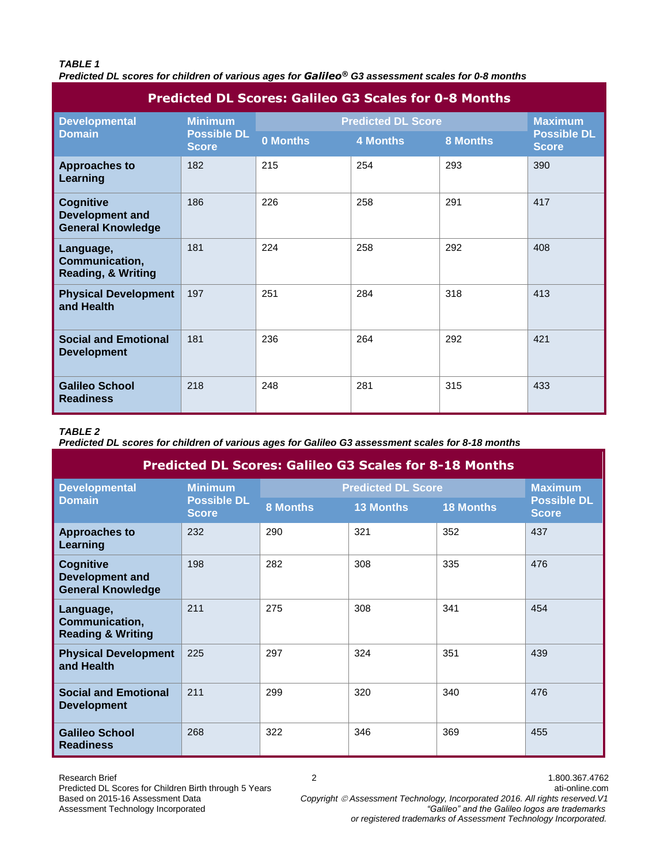### *TABLE 1*

*Predicted DL scores for children of various ages for Galileo® G3 assessment scales for 0-8 months*

| <b>Predicted DL Scores: Galileo G3 Scales for 0-8 Months</b>           |                                                      |                           |                 |          |                                    |  |
|------------------------------------------------------------------------|------------------------------------------------------|---------------------------|-----------------|----------|------------------------------------|--|
| <b>Developmental</b><br><b>Domain</b>                                  | <b>Minimum</b><br><b>Possible DL</b><br><b>Score</b> | <b>Predicted DL Score</b> | <b>Maximum</b>  |          |                                    |  |
|                                                                        |                                                      | 0 Months                  | <b>4 Months</b> | 8 Months | <b>Possible DL</b><br><b>Score</b> |  |
| <b>Approaches to</b><br>Learning                                       | 182                                                  | 215                       | 254             | 293      | 390                                |  |
| <b>Cognitive</b><br><b>Development and</b><br><b>General Knowledge</b> | 186                                                  | 226                       | 258             | 291      | 417                                |  |
| Language,<br>Communication,<br><b>Reading, &amp; Writing</b>           | 181                                                  | 224                       | 258             | 292      | 408                                |  |
| <b>Physical Development</b><br>and Health                              | 197                                                  | 251                       | 284             | 318      | 413                                |  |
| <b>Social and Emotional</b><br><b>Development</b>                      | 181                                                  | 236                       | 264             | 292      | 421                                |  |
| <b>Galileo School</b><br><b>Readiness</b>                              | 218                                                  | 248                       | 281             | 315      | 433                                |  |

## *TABLE 2*

*Predicted DL scores for children of various ages for Galileo G3 assessment scales for 8-18 months*

| <b>Predicted DL Scores: Galileo G3 Scales for 8-18 Months</b>   |                                                      |                           |                  |                  |                                    |  |
|-----------------------------------------------------------------|------------------------------------------------------|---------------------------|------------------|------------------|------------------------------------|--|
| <b>Developmental</b><br><b>Domain</b>                           | <b>Minimum</b><br><b>Possible DL</b><br><b>Score</b> | <b>Predicted DL Score</b> | <b>Maximum</b>   |                  |                                    |  |
|                                                                 |                                                      | <b>8 Months</b>           | <b>13 Months</b> | <b>18 Months</b> | <b>Possible DL</b><br><b>Score</b> |  |
| <b>Approaches to</b><br>Learning                                | 232                                                  | 290                       | 321              | 352              | 437                                |  |
| <b>Cognitive</b><br>Development and<br><b>General Knowledge</b> | 198                                                  | 282                       | 308              | 335              | 476                                |  |
| Language,<br>Communication,<br><b>Reading &amp; Writing</b>     | 211                                                  | 275                       | 308              | 341              | 454                                |  |
| <b>Physical Development</b><br>and Health                       | 225                                                  | 297                       | 324              | 351              | 439                                |  |
| <b>Social and Emotional</b><br><b>Development</b>               | 211                                                  | 299                       | 320              | 340              | 476                                |  |
| <b>Galileo School</b><br><b>Readiness</b>                       | 268                                                  | 322                       | 346              | 369              | 455                                |  |

Research Brief 2 1.800.367.4762 Predicted DL Scores for Children Birth through 5 Years<br>Based on 2015-16 Assessment Data Copyright © Assessment Technology, Incorporated 2016. All rights reserved. V1

Based on 2015-16 Assessment Data **Copyright © Assessment Technology, Incorporated 2016. All rights reserved.V1**<br>Assessment Technology Incorporated **Assessment Technology** incorporated "Galileo" and the Galileo logos are tr Assessment Technology Incorporated *"Galileo" and the Galileo logos are trademarks or registered trademarks of Assessment Technology Incorporated.*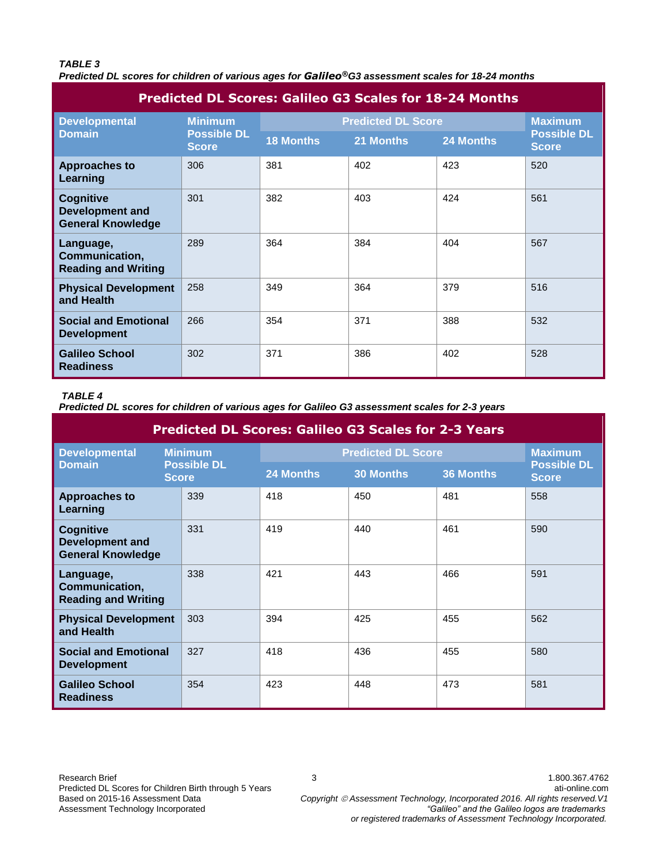### *TABLE 3*

*Predicted DL scores for children of various ages for Galileo®G3 assessment scales for 18-24 months*

| <b>Predicted DL Scores: Galileo G3 Scales for 18-24 Months</b>         |                                                      |                           |                |           |                                    |  |
|------------------------------------------------------------------------|------------------------------------------------------|---------------------------|----------------|-----------|------------------------------------|--|
| <b>Developmental</b><br><b>Domain</b>                                  | <b>Minimum</b><br><b>Possible DL</b><br><b>Score</b> | <b>Predicted DL Score</b> | <b>Maximum</b> |           |                                    |  |
|                                                                        |                                                      | <b>18 Months</b>          | 21 Months      | 24 Months | <b>Possible DL</b><br><b>Score</b> |  |
| <b>Approaches to</b><br>Learning                                       | 306                                                  | 381                       | 402            | 423       | 520                                |  |
| <b>Cognitive</b><br><b>Development and</b><br><b>General Knowledge</b> | 301                                                  | 382                       | 403            | 424       | 561                                |  |
| Language,<br>Communication,<br><b>Reading and Writing</b>              | 289                                                  | 364                       | 384            | 404       | 567                                |  |
| <b>Physical Development</b><br>and Health                              | 258                                                  | 349                       | 364            | 379       | 516                                |  |
| <b>Social and Emotional</b><br><b>Development</b>                      | 266                                                  | 354                       | 371            | 388       | 532                                |  |
| <b>Galileo School</b><br><b>Readiness</b>                              | 302                                                  | 371                       | 386            | 402       | 528                                |  |

## *TABLE 4*

*Predicted DL scores for children of various ages for Galileo G3 assessment scales for 2-3 years*

| <b>Predicted DL Scores: Galileo G3 Scales for 2-3 Years</b>            |                                                      |                           |                  |                  |                                    |  |
|------------------------------------------------------------------------|------------------------------------------------------|---------------------------|------------------|------------------|------------------------------------|--|
| <b>Developmental</b><br><b>Domain</b>                                  | <b>Minimum</b><br><b>Possible DL</b><br><b>Score</b> | <b>Predicted DL Score</b> | <b>Maximum</b>   |                  |                                    |  |
|                                                                        |                                                      | 24 Months                 | <b>30 Months</b> | <b>36 Months</b> | <b>Possible DL</b><br><b>Score</b> |  |
| <b>Approaches to</b><br>Learning                                       | 339                                                  | 418                       | 450              | 481              | 558                                |  |
| <b>Cognitive</b><br><b>Development and</b><br><b>General Knowledge</b> | 331                                                  | 419                       | 440              | 461              | 590                                |  |
| Language,<br>Communication,<br><b>Reading and Writing</b>              | 338                                                  | 421                       | 443              | 466              | 591                                |  |
| <b>Physical Development</b><br>and Health                              | 303                                                  | 394                       | 425              | 455              | 562                                |  |
| <b>Social and Emotional</b><br><b>Development</b>                      | 327                                                  | 418                       | 436              | 455              | 580                                |  |
| <b>Galileo School</b><br><b>Readiness</b>                              | 354                                                  | 423                       | 448              | 473              | 581                                |  |